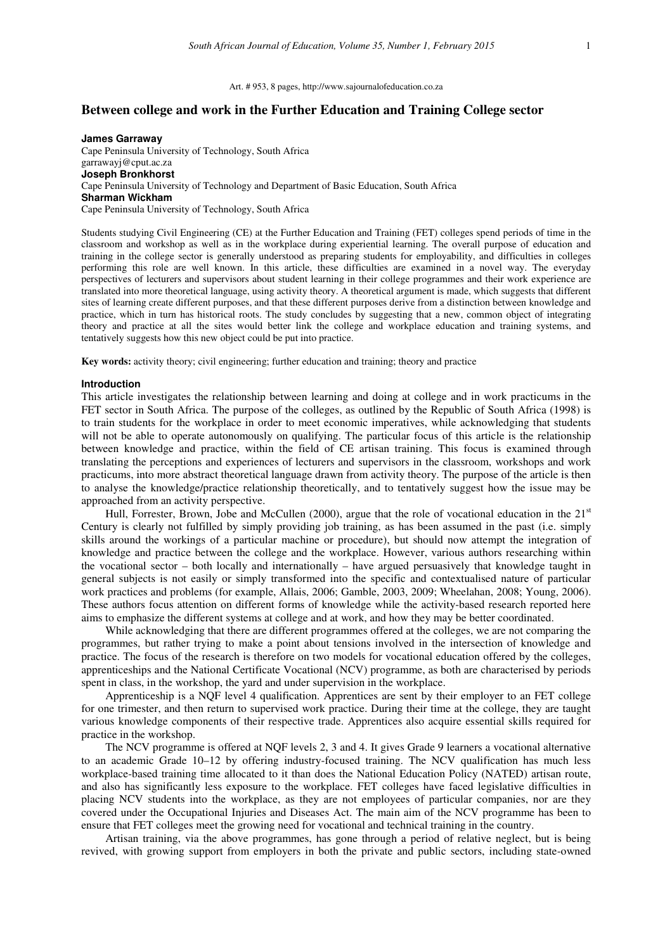# **Between college and work in the Further Education and Training College sector**

**James Garraway**  Cape Peninsula University of Technology, South Africa garrawayj@cput.ac.za **Joseph Bronkhorst**  Cape Peninsula University of Technology and Department of Basic Education, South Africa **Sharman Wickham**  Cape Peninsula University of Technology, South Africa

Students studying Civil Engineering (CE) at the Further Education and Training (FET) colleges spend periods of time in the classroom and workshop as well as in the workplace during experiential learning. The overall purpose of education and training in the college sector is generally understood as preparing students for employability, and difficulties in colleges performing this role are well known. In this article, these difficulties are examined in a novel way. The everyday perspectives of lecturers and supervisors about student learning in their college programmes and their work experience are translated into more theoretical language, using activity theory. A theoretical argument is made, which suggests that different sites of learning create different purposes, and that these different purposes derive from a distinction between knowledge and practice, which in turn has historical roots. The study concludes by suggesting that a new, common object of integrating theory and practice at all the sites would better link the college and workplace education and training systems, and tentatively suggests how this new object could be put into practice.

**Key words:** activity theory; civil engineering; further education and training; theory and practice

#### **Introduction**

This article investigates the relationship between learning and doing at college and in work practicums in the FET sector in South Africa. The purpose of the colleges, as outlined by the Republic of South Africa (1998) is to train students for the workplace in order to meet economic imperatives, while acknowledging that students will not be able to operate autonomously on qualifying. The particular focus of this article is the relationship between knowledge and practice, within the field of CE artisan training. This focus is examined through translating the perceptions and experiences of lecturers and supervisors in the classroom, workshops and work practicums, into more abstract theoretical language drawn from activity theory. The purpose of the article is then to analyse the knowledge/practice relationship theoretically, and to tentatively suggest how the issue may be approached from an activity perspective.

Hull, Forrester, Brown, Jobe and McCullen (2000), argue that the role of vocational education in the 21<sup>st</sup> Century is clearly not fulfilled by simply providing job training, as has been assumed in the past (i.e. simply skills around the workings of a particular machine or procedure), but should now attempt the integration of knowledge and practice between the college and the workplace. However, various authors researching within the vocational sector – both locally and internationally – have argued persuasively that knowledge taught in general subjects is not easily or simply transformed into the specific and contextualised nature of particular work practices and problems (for example, Allais, 2006; Gamble, 2003, 2009; Wheelahan, 2008; Young, 2006). These authors focus attention on different forms of knowledge while the activity-based research reported here aims to emphasize the different systems at college and at work, and how they may be better coordinated.

While acknowledging that there are different programmes offered at the colleges, we are not comparing the programmes, but rather trying to make a point about tensions involved in the intersection of knowledge and practice. The focus of the research is therefore on two models for vocational education offered by the colleges, apprenticeships and the National Certificate Vocational (NCV) programme, as both are characterised by periods spent in class, in the workshop, the yard and under supervision in the workplace.

Apprenticeship is a NQF level 4 qualification. Apprentices are sent by their employer to an FET college for one trimester, and then return to supervised work practice. During their time at the college, they are taught various knowledge components of their respective trade. Apprentices also acquire essential skills required for practice in the workshop.

The NCV programme is offered at NQF levels 2, 3 and 4. It gives Grade 9 learners a vocational alternative to an academic Grade 10–12 by offering industry-focused training. The NCV qualification has much less workplace-based training time allocated to it than does the National Education Policy (NATED) artisan route, and also has significantly less exposure to the workplace. FET colleges have faced legislative difficulties in placing NCV students into the workplace, as they are not employees of particular companies, nor are they covered under the Occupational Injuries and Diseases Act. The main aim of the NCV programme has been to ensure that FET colleges meet the growing need for vocational and technical training in the country.

Artisan training, via the above programmes, has gone through a period of relative neglect, but is being revived, with growing support from employers in both the private and public sectors, including state-owned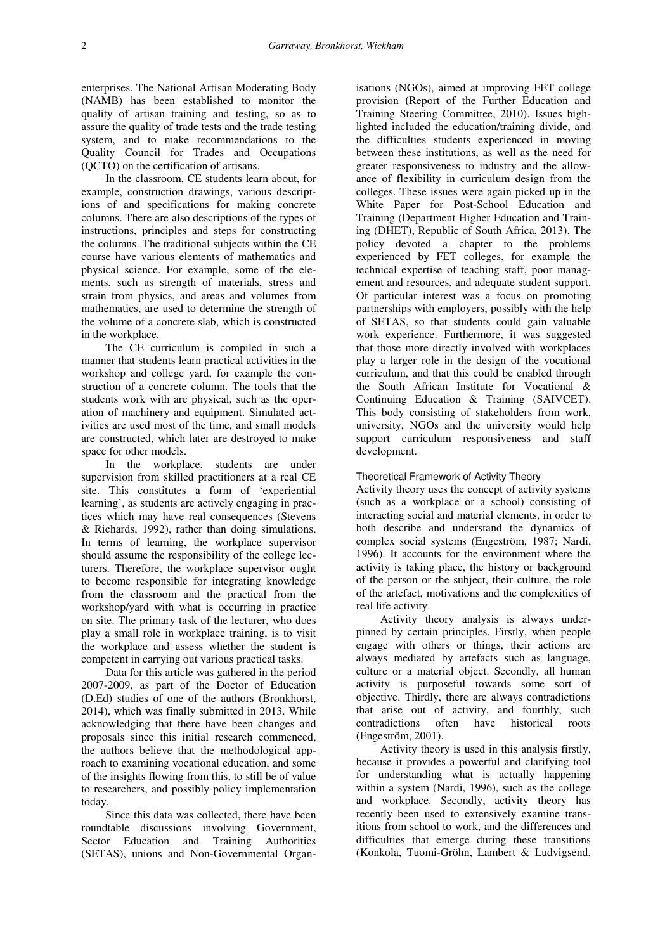enterprises. The National Artisan Moderating Body (NAMB) has been established to monitor the quality of artisan training and testing, so as to assure the quality of trade tests and the trade testing system, and to make recommendations to the Quality Council for Trades and Occupations (QCTO) on the certification of artisans.

In the classroom, CE students learn about, for example, construction drawings, various descriptions of and specifications for making concrete columns. There are also descriptions of the types of instructions, principles and steps for constructing the columns. The traditional subjects within the CE course have various elements of mathematics and physical science. For example, some of the elements, such as strength of materials, stress and strain from physics, and areas and volumes from mathematics, are used to determine the strength of the volume of a concrete slab, which is constructed in the workplace.

The CE curriculum is compiled in such a manner that students learn practical activities in the workshop and college yard, for example the construction of a concrete column. The tools that the students work with are physical, such as the operation of machinery and equipment. Simulated activities are used most of the time, and small models are constructed, which later are destroyed to make space for other models.

In the workplace, students are under supervision from skilled practitioners at a real CE site. This constitutes a form of 'experiential learning', as students are actively engaging in practices which may have real consequences (Stevens & Richards, 1992), rather than doing simulations. In terms of learning, the workplace supervisor should assume the responsibility of the college lecturers. Therefore, the workplace supervisor ought to become responsible for integrating knowledge from the classroom and the practical from the workshop/yard with what is occurring in practice on site. The primary task of the lecturer, who does play a small role in workplace training, is to visit the workplace and assess whether the student is competent in carrying out various practical tasks.

Data for this article was gathered in the period 2007-2009, as part of the Doctor of Education (D.Ed) studies of one of the authors (Bronkhorst, 2014), which was finally submitted in 2013. While acknowledging that there have been changes and proposals since this initial research commenced, the authors believe that the methodological approach to examining vocational education, and some of the insights flowing from this, to still be of value to researchers, and possibly policy implementation today.

Since this data was collected, there have been roundtable discussions involving Government, Sector Education and Training Authorities (SETAS), unions and Non-Governmental Organ-

isations (NGOs), aimed at improving FET college provision **(**Report of the Further Education and Training Steering Committee, 2010). Issues highlighted included the education/training divide, and the difficulties students experienced in moving between these institutions, as well as the need for greater responsiveness to industry and the allowance of flexibility in curriculum design from the colleges. These issues were again picked up in the White Paper for Post-School Education and Training (Department Higher Education and Training (DHET), Republic of South Africa, 2013). The policy devoted a chapter to the problems experienced by FET colleges, for example the technical expertise of teaching staff, poor management and resources, and adequate student support. Of particular interest was a focus on promoting partnerships with employers, possibly with the help of SETAS, so that students could gain valuable work experience. Furthermore, it was suggested that those more directly involved with workplaces play a larger role in the design of the vocational curriculum, and that this could be enabled through the South African Institute for Vocational & Continuing Education & Training (SAIVCET). This body consisting of stakeholders from work, university, NGOs and the university would help support curriculum responsiveness and staff development.

# Theoretical Framework of Activity Theory

Activity theory uses the concept of activity systems (such as a workplace or a school) consisting of interacting social and material elements, in order to both describe and understand the dynamics of complex social systems (Engeström, 1987; Nardi, 1996). It accounts for the environment where the activity is taking place, the history or background of the person or the subject, their culture, the role of the artefact, motivations and the complexities of real life activity.

Activity theory analysis is always underpinned by certain principles. Firstly, when people engage with others or things, their actions are always mediated by artefacts such as language, culture or a material object. Secondly, all human activity is purposeful towards some sort of objective. Thirdly, there are always contradictions that arise out of activity, and fourthly, such contradictions often have historical roots (Engeström, 2001).

Activity theory is used in this analysis firstly, because it provides a powerful and clarifying tool for understanding what is actually happening within a system (Nardi, 1996), such as the college and workplace. Secondly, activity theory has recently been used to extensively examine transitions from school to work, and the differences and difficulties that emerge during these transitions (Konkola, Tuomi-Gröhn, Lambert & Ludvigsend,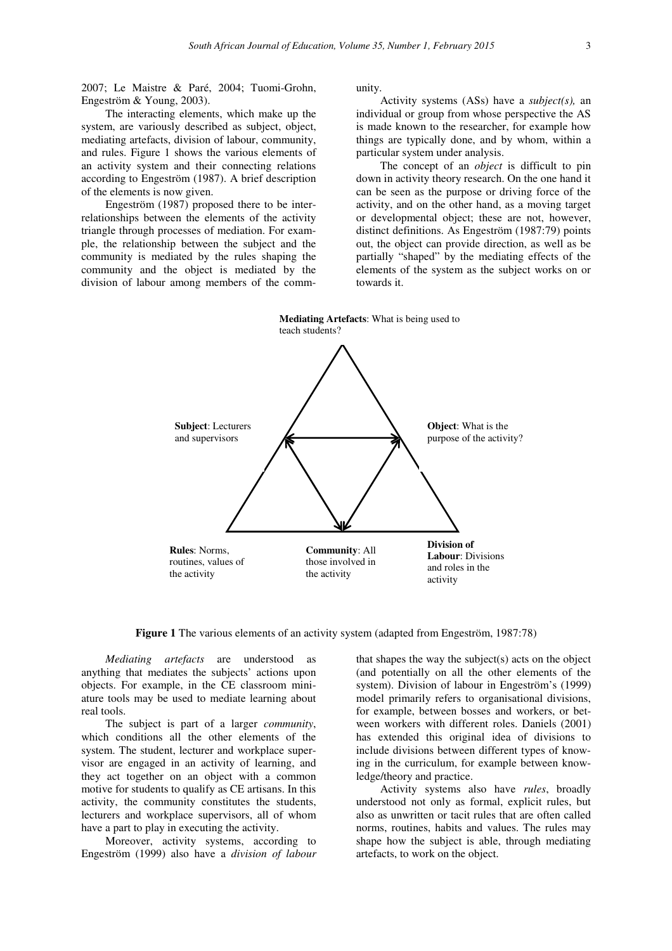2007; Le Maistre & Paré, 2004; Tuomi-Grohn, Engeström & Young, 2003).

The interacting elements, which make up the system, are variously described as subject, object, mediating artefacts, division of labour, community, and rules. Figure 1 shows the various elements of an activity system and their connecting relations according to Engeström (1987). A brief description of the elements is now given.

Engeström (1987) proposed there to be interrelationships between the elements of the activity triangle through processes of mediation. For example, the relationship between the subject and the community is mediated by the rules shaping the community and the object is mediated by the division of labour among members of the community.

Activity systems (ASs) have a *subject(s),* an individual or group from whose perspective the AS is made known to the researcher, for example how things are typically done, and by whom, within a particular system under analysis.

The concept of an *object* is difficult to pin down in activity theory research. On the one hand it can be seen as the purpose or driving force of the activity, and on the other hand, as a moving target or developmental object; these are not, however, distinct definitions. As Engeström (1987:79) points out, the object can provide direction, as well as be partially "shaped" by the mediating effects of the elements of the system as the subject works on or towards it.



**Figure 1** The various elements of an activity system (adapted from Engeström, 1987:78)

*Mediating artefacts* are understood as anything that mediates the subjects' actions upon objects. For example, in the CE classroom miniature tools may be used to mediate learning about real tools.

The subject is part of a larger *community*, which conditions all the other elements of the system. The student, lecturer and workplace supervisor are engaged in an activity of learning, and they act together on an object with a common motive for students to qualify as CE artisans. In this activity, the community constitutes the students, lecturers and workplace supervisors, all of whom have a part to play in executing the activity.

Moreover, activity systems, according to Engeström (1999) also have a *division of labour* 

that shapes the way the subject(s) acts on the object (and potentially on all the other elements of the system). Division of labour in Engeström's (1999) model primarily refers to organisational divisions, for example, between bosses and workers, or between workers with different roles. Daniels (2001) has extended this original idea of divisions to include divisions between different types of knowing in the curriculum, for example between knowledge/theory and practice.

Activity systems also have *rules*, broadly understood not only as formal, explicit rules, but also as unwritten or tacit rules that are often called norms, routines, habits and values. The rules may shape how the subject is able, through mediating artefacts, to work on the object.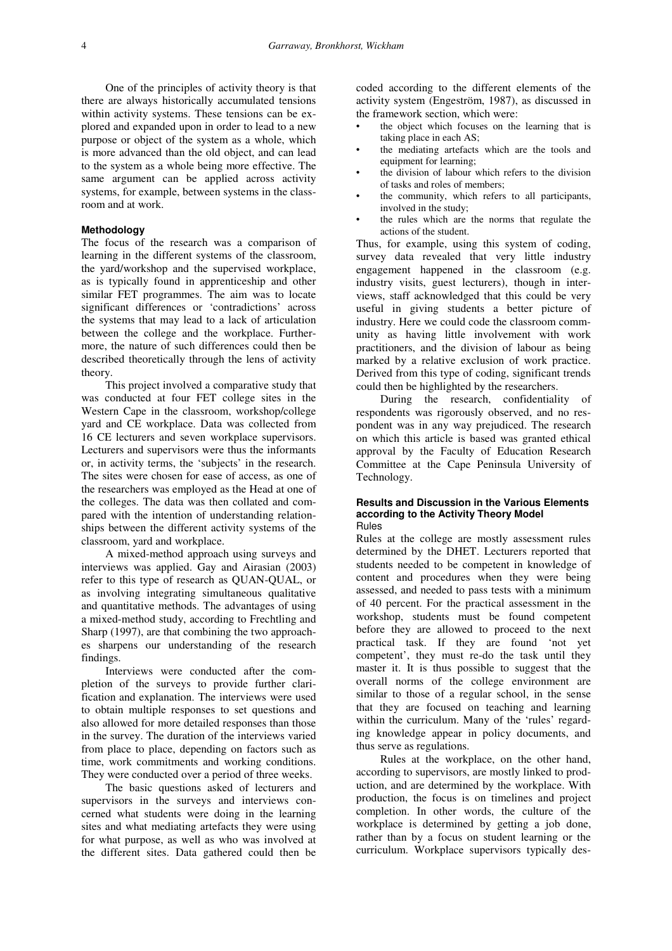One of the principles of activity theory is that there are always historically accumulated tensions within activity systems. These tensions can be explored and expanded upon in order to lead to a new purpose or object of the system as a whole, which is more advanced than the old object, and can lead to the system as a whole being more effective. The same argument can be applied across activity systems, for example, between systems in the classroom and at work.

# **Methodology**

The focus of the research was a comparison of learning in the different systems of the classroom, the yard/workshop and the supervised workplace, as is typically found in apprenticeship and other similar FET programmes. The aim was to locate significant differences or 'contradictions' across the systems that may lead to a lack of articulation between the college and the workplace. Furthermore, the nature of such differences could then be described theoretically through the lens of activity theory.

This project involved a comparative study that was conducted at four FET college sites in the Western Cape in the classroom, workshop/college yard and CE workplace. Data was collected from 16 CE lecturers and seven workplace supervisors. Lecturers and supervisors were thus the informants or, in activity terms, the 'subjects' in the research. The sites were chosen for ease of access, as one of the researchers was employed as the Head at one of the colleges. The data was then collated and compared with the intention of understanding relationships between the different activity systems of the classroom, yard and workplace.

A mixed-method approach using surveys and interviews was applied. Gay and Airasian (2003) refer to this type of research as QUAN-QUAL, or as involving integrating simultaneous qualitative and quantitative methods. The advantages of using a mixed-method study, according to Frechtling and Sharp (1997), are that combining the two approaches sharpens our understanding of the research findings.

Interviews were conducted after the completion of the surveys to provide further clarification and explanation. The interviews were used to obtain multiple responses to set questions and also allowed for more detailed responses than those in the survey. The duration of the interviews varied from place to place, depending on factors such as time, work commitments and working conditions. They were conducted over a period of three weeks.

The basic questions asked of lecturers and supervisors in the surveys and interviews concerned what students were doing in the learning sites and what mediating artefacts they were using for what purpose, as well as who was involved at the different sites. Data gathered could then be

coded according to the different elements of the activity system (Engeström, 1987), as discussed in the framework section, which were:

- the object which focuses on the learning that is taking place in each AS;
- the mediating artefacts which are the tools and equipment for learning;
- the division of labour which refers to the division of tasks and roles of members;
- the community, which refers to all participants, involved in the study;
- the rules which are the norms that regulate the actions of the student.

Thus, for example, using this system of coding, survey data revealed that very little industry engagement happened in the classroom (e.g. industry visits, guest lecturers), though in interviews, staff acknowledged that this could be very useful in giving students a better picture of industry. Here we could code the classroom community as having little involvement with work practitioners, and the division of labour as being marked by a relative exclusion of work practice. Derived from this type of coding, significant trends could then be highlighted by the researchers.

During the research, confidentiality of respondents was rigorously observed, and no respondent was in any way prejudiced. The research on which this article is based was granted ethical approval by the Faculty of Education Research Committee at the Cape Peninsula University of Technology.

### **Results and Discussion in the Various Elements according to the Activity Theory Model**  Rules

Rules at the college are mostly assessment rules determined by the DHET. Lecturers reported that students needed to be competent in knowledge of content and procedures when they were being assessed, and needed to pass tests with a minimum of 40 percent. For the practical assessment in the workshop, students must be found competent before they are allowed to proceed to the next practical task. If they are found 'not yet competent', they must re-do the task until they master it. It is thus possible to suggest that the overall norms of the college environment are similar to those of a regular school, in the sense that they are focused on teaching and learning within the curriculum. Many of the 'rules' regarding knowledge appear in policy documents, and thus serve as regulations.

Rules at the workplace, on the other hand, according to supervisors, are mostly linked to production, and are determined by the workplace. With production, the focus is on timelines and project completion. In other words, the culture of the workplace is determined by getting a job done, rather than by a focus on student learning or the curriculum. Workplace supervisors typically des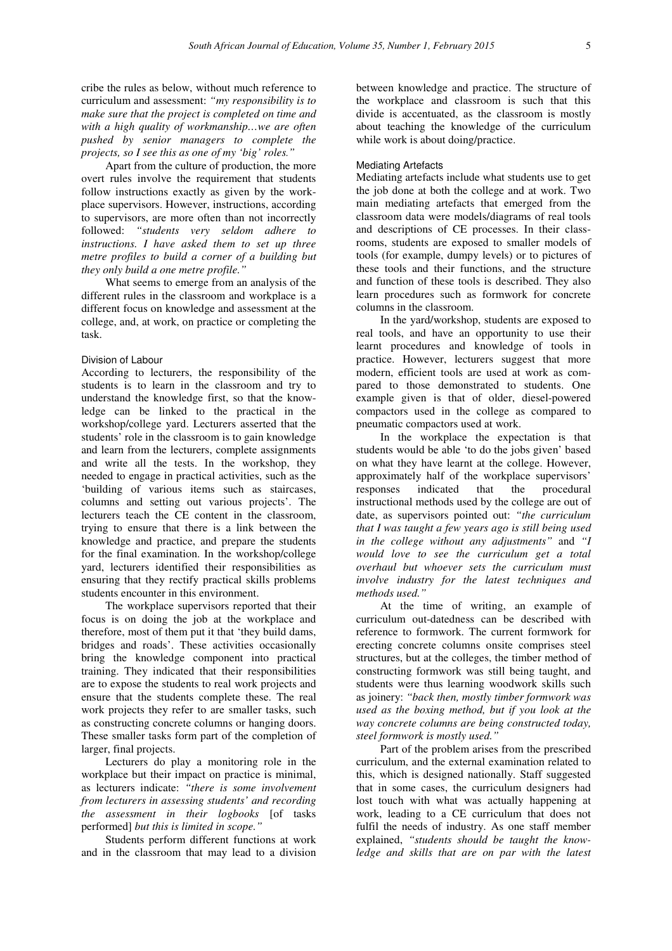cribe the rules as below, without much reference to curriculum and assessment: *"my responsibility is to make sure that the project is completed on time and with a high quality of workmanship…we are often pushed by senior managers to complete the projects, so I see this as one of my 'big' roles."*

Apart from the culture of production, the more overt rules involve the requirement that students follow instructions exactly as given by the workplace supervisors. However, instructions, according to supervisors, are more often than not incorrectly followed: *"students very seldom adhere to instructions. I have asked them to set up three metre profiles to build a corner of a building but they only build a one metre profile."* 

What seems to emerge from an analysis of the different rules in the classroom and workplace is a different focus on knowledge and assessment at the college, and, at work, on practice or completing the task.

### Division of Labour

According to lecturers, the responsibility of the students is to learn in the classroom and try to understand the knowledge first, so that the knowledge can be linked to the practical in the workshop/college yard. Lecturers asserted that the students' role in the classroom is to gain knowledge and learn from the lecturers, complete assignments and write all the tests. In the workshop, they needed to engage in practical activities, such as the 'building of various items such as staircases, columns and setting out various projects'. The lecturers teach the CE content in the classroom, trying to ensure that there is a link between the knowledge and practice, and prepare the students for the final examination. In the workshop/college yard, lecturers identified their responsibilities as ensuring that they rectify practical skills problems students encounter in this environment.

The workplace supervisors reported that their focus is on doing the job at the workplace and therefore, most of them put it that 'they build dams, bridges and roads'. These activities occasionally bring the knowledge component into practical training. They indicated that their responsibilities are to expose the students to real work projects and ensure that the students complete these. The real work projects they refer to are smaller tasks, such as constructing concrete columns or hanging doors. These smaller tasks form part of the completion of larger, final projects.

Lecturers do play a monitoring role in the workplace but their impact on practice is minimal, as lecturers indicate: *"there is some involvement from lecturers in assessing students' and recording the assessment in their logbooks* [of tasks performed] *but this is limited in scope."* 

Students perform different functions at work and in the classroom that may lead to a division between knowledge and practice. The structure of the workplace and classroom is such that this divide is accentuated, as the classroom is mostly about teaching the knowledge of the curriculum while work is about doing/practice.

### Mediating Artefacts

Mediating artefacts include what students use to get the job done at both the college and at work. Two main mediating artefacts that emerged from the classroom data were models/diagrams of real tools and descriptions of CE processes. In their classrooms, students are exposed to smaller models of tools (for example, dumpy levels) or to pictures of these tools and their functions, and the structure and function of these tools is described. They also learn procedures such as formwork for concrete columns in the classroom.

In the yard/workshop, students are exposed to real tools, and have an opportunity to use their learnt procedures and knowledge of tools in practice. However, lecturers suggest that more modern, efficient tools are used at work as compared to those demonstrated to students. One example given is that of older, diesel-powered compactors used in the college as compared to pneumatic compactors used at work.

In the workplace the expectation is that students would be able 'to do the jobs given' based on what they have learnt at the college. However, approximately half of the workplace supervisors' responses indicated that the procedural instructional methods used by the college are out of date, as supervisors pointed out: *"the curriculum that I was taught a few years ago is still being used in the college without any adjustments"* and *"I would love to see the curriculum get a total overhaul but whoever sets the curriculum must involve industry for the latest techniques and methods used."* 

At the time of writing, an example of curriculum out-datedness can be described with reference to formwork. The current formwork for erecting concrete columns onsite comprises steel structures, but at the colleges, the timber method of constructing formwork was still being taught, and students were thus learning woodwork skills such as joinery: *"back then, mostly timber formwork was used as the boxing method, but if you look at the way concrete columns are being constructed today, steel formwork is mostly used."*

Part of the problem arises from the prescribed curriculum, and the external examination related to this, which is designed nationally. Staff suggested that in some cases, the curriculum designers had lost touch with what was actually happening at work, leading to a CE curriculum that does not fulfil the needs of industry. As one staff member explained, *"students should be taught the knowledge and skills that are on par with the latest*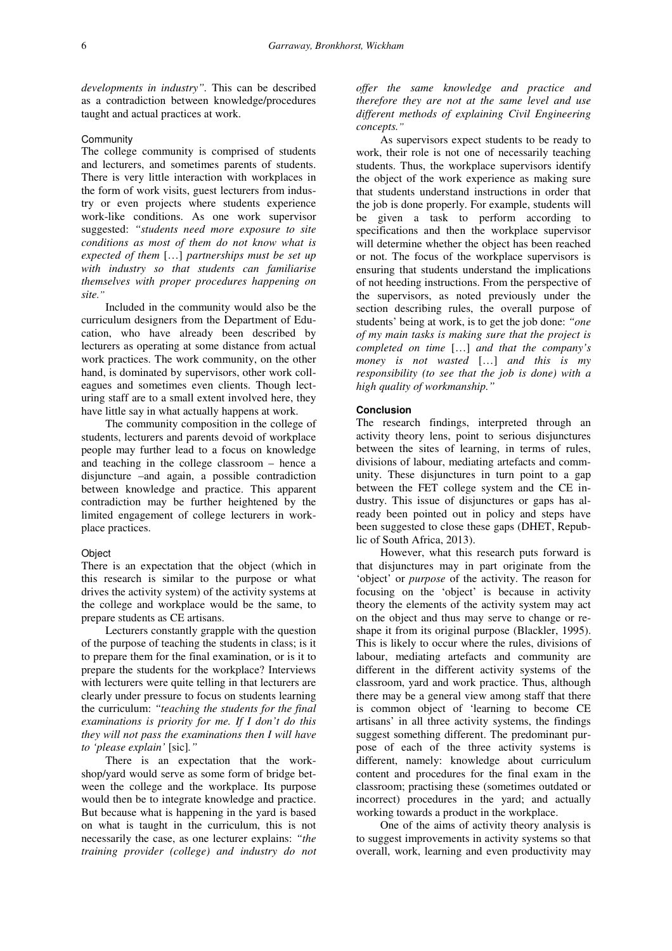*developments in industry".* This can be described as a contradiction between knowledge/procedures taught and actual practices at work.

### **Community**

The college community is comprised of students and lecturers, and sometimes parents of students. There is very little interaction with workplaces in the form of work visits, guest lecturers from industry or even projects where students experience work-like conditions. As one work supervisor suggested: *"students need more exposure to site conditions as most of them do not know what is expected of them* […] *partnerships must be set up with industry so that students can familiarise themselves with proper procedures happening on site."* 

Included in the community would also be the curriculum designers from the Department of Education, who have already been described by lecturers as operating at some distance from actual work practices. The work community, on the other hand, is dominated by supervisors, other work colleagues and sometimes even clients. Though lecturing staff are to a small extent involved here, they have little say in what actually happens at work.

The community composition in the college of students, lecturers and parents devoid of workplace people may further lead to a focus on knowledge and teaching in the college classroom – hence a disjuncture –and again, a possible contradiction between knowledge and practice. This apparent contradiction may be further heightened by the limited engagement of college lecturers in workplace practices.

#### **Object**

There is an expectation that the object (which in this research is similar to the purpose or what drives the activity system) of the activity systems at the college and workplace would be the same, to prepare students as CE artisans.

Lecturers constantly grapple with the question of the purpose of teaching the students in class; is it to prepare them for the final examination, or is it to prepare the students for the workplace? Interviews with lecturers were quite telling in that lecturers are clearly under pressure to focus on students learning the curriculum: *"teaching the students for the final examinations is priority for me. If I don't do this they will not pass the examinations then I will have to 'please explain'* [sic]*."*

There is an expectation that the workshop/yard would serve as some form of bridge between the college and the workplace. Its purpose would then be to integrate knowledge and practice. But because what is happening in the yard is based on what is taught in the curriculum, this is not necessarily the case, as one lecturer explains: *"the training provider (college) and industry do not* 

*offer the same knowledge and practice and therefore they are not at the same level and use different methods of explaining Civil Engineering concepts."* 

As supervisors expect students to be ready to work, their role is not one of necessarily teaching students. Thus, the workplace supervisors identify the object of the work experience as making sure that students understand instructions in order that the job is done properly. For example, students will be given a task to perform according to specifications and then the workplace supervisor will determine whether the object has been reached or not. The focus of the workplace supervisors is ensuring that students understand the implications of not heeding instructions. From the perspective of the supervisors, as noted previously under the section describing rules, the overall purpose of students' being at work, is to get the job done: *"one of my main tasks is making sure that the project is completed on time* […] *and that the company's money is not wasted* […] *and this is my responsibility (to see that the job is done) with a high quality of workmanship."* 

## **Conclusion**

The research findings, interpreted through an activity theory lens, point to serious disjunctures between the sites of learning, in terms of rules, divisions of labour, mediating artefacts and community. These disjunctures in turn point to a gap between the FET college system and the CE industry. This issue of disjunctures or gaps has already been pointed out in policy and steps have been suggested to close these gaps (DHET, Republic of South Africa, 2013).

However, what this research puts forward is that disjunctures may in part originate from the 'object' or *purpose* of the activity. The reason for focusing on the 'object' is because in activity theory the elements of the activity system may act on the object and thus may serve to change or reshape it from its original purpose (Blackler, 1995). This is likely to occur where the rules, divisions of labour, mediating artefacts and community are different in the different activity systems of the classroom, yard and work practice. Thus, although there may be a general view among staff that there is common object of 'learning to become CE artisans' in all three activity systems, the findings suggest something different. The predominant purpose of each of the three activity systems is different, namely: knowledge about curriculum content and procedures for the final exam in the classroom; practising these (sometimes outdated or incorrect) procedures in the yard; and actually working towards a product in the workplace.

One of the aims of activity theory analysis is to suggest improvements in activity systems so that overall, work, learning and even productivity may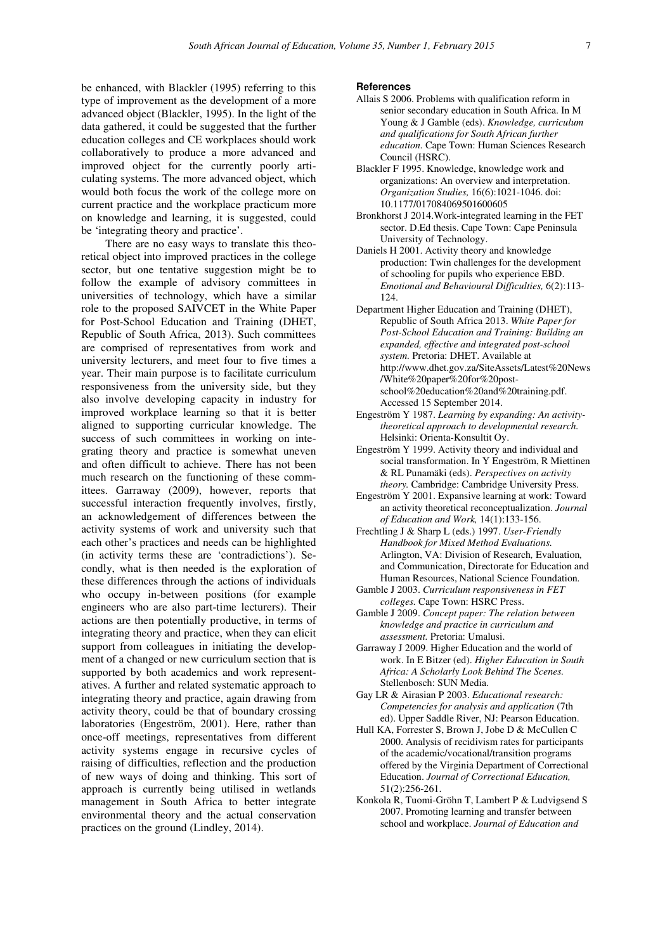be enhanced, with Blackler (1995) referring to this type of improvement as the development of a more advanced object (Blackler, 1995). In the light of the data gathered, it could be suggested that the further education colleges and CE workplaces should work collaboratively to produce a more advanced and improved object for the currently poorly articulating systems. The more advanced object, which would both focus the work of the college more on current practice and the workplace practicum more on knowledge and learning, it is suggested, could be 'integrating theory and practice'.

There are no easy ways to translate this theoretical object into improved practices in the college sector, but one tentative suggestion might be to follow the example of advisory committees in universities of technology, which have a similar role to the proposed SAIVCET in the White Paper for Post-School Education and Training (DHET, Republic of South Africa, 2013). Such committees are comprised of representatives from work and university lecturers, and meet four to five times a year. Their main purpose is to facilitate curriculum responsiveness from the university side, but they also involve developing capacity in industry for improved workplace learning so that it is better aligned to supporting curricular knowledge. The success of such committees in working on integrating theory and practice is somewhat uneven and often difficult to achieve. There has not been much research on the functioning of these committees. Garraway (2009), however, reports that successful interaction frequently involves, firstly, an acknowledgement of differences between the activity systems of work and university such that each other's practices and needs can be highlighted (in activity terms these are 'contradictions'). Secondly, what is then needed is the exploration of these differences through the actions of individuals who occupy in-between positions (for example engineers who are also part-time lecturers). Their actions are then potentially productive, in terms of integrating theory and practice, when they can elicit support from colleagues in initiating the development of a changed or new curriculum section that is supported by both academics and work representatives. A further and related systematic approach to integrating theory and practice, again drawing from activity theory, could be that of boundary crossing laboratories (Engeström, 2001). Here, rather than once-off meetings, representatives from different activity systems engage in recursive cycles of raising of difficulties, reflection and the production of new ways of doing and thinking. This sort of approach is currently being utilised in wetlands management in South Africa to better integrate environmental theory and the actual conservation practices on the ground (Lindley, 2014).

#### **References**

- Allais S 2006. Problems with qualification reform in senior secondary education in South Africa. In M Young & J Gamble (eds). *Knowledge, curriculum and qualifications for South African further education.* Cape Town: Human Sciences Research Council (HSRC).
- Blackler F 1995. Knowledge, knowledge work and organizations: An overview and interpretation. *Organization Studies,* 16(6):1021-1046. doi: 10.1177/017084069501600605
- Bronkhorst J 2014.Work-integrated learning in the FET sector. D.Ed thesis. Cape Town: Cape Peninsula University of Technology.
- Daniels H 2001. Activity theory and knowledge production: Twin challenges for the development of schooling for pupils who experience EBD. *Emotional and Behavioural Difficulties,* 6(2):113- 124.
- Department Higher Education and Training (DHET), Republic of South Africa 2013. *White Paper for Post-School Education and Training: Building an expanded, effective and integrated post-school system.* Pretoria: DHET. Available at http://www.dhet.gov.za/SiteAssets/Latest%20News /White%20paper%20for%20postschool%20education%20and%20training.pdf. Accessed 15 September 2014.
- Engeström Y 1987. *Learning by expanding: An activitytheoretical approach to developmental research.*  Helsinki: Orienta-Konsultit Oy.
- Engeström Y 1999. Activity theory and individual and social transformation. In Y Engeström, R Miettinen & RL Punamäki (eds). *Perspectives on activity theory.* Cambridge: Cambridge University Press.
- Engeström Y 2001. Expansive learning at work: Toward an activity theoretical reconceptualization. *Journal of Education and Work,* 14(1):133-156.
- Frechtling J & Sharp L (eds.) 1997. *User-Friendly Handbook for Mixed Method Evaluations.*  Arlington, VA: Division of Research*,* Evaluation*,*  and Communication, Directorate for Education and Human Resources, National Science Foundation*.*
- Gamble J 2003. *Curriculum responsiveness in FET colleges.* Cape Town: HSRC Press.
- Gamble J 2009. *Concept paper: The relation between knowledge and practice in curriculum and assessment.* Pretoria: Umalusi.
- Garraway J 2009. Higher Education and the world of work. In E Bitzer (ed). *Higher Education in South Africa: A Scholarly Look Behind The Scenes.*  Stellenbosch: SUN Media.
- Gay LR & Airasian P 2003. *Educational research: Competencies for analysis and application* (7th ed). Upper Saddle River, NJ: Pearson Education.
- Hull KA, Forrester S, Brown J, Jobe D & McCullen C 2000. Analysis of recidivism rates for participants of the academic/vocational/transition programs offered by the Virginia Department of Correctional Education. *Journal of Correctional Education,*  51(2):256-261.
- Konkola R, Tuomi-Gröhn T, Lambert P & Ludvigsend S 2007. Promoting learning and transfer between school and workplace. *Journal of Education and*